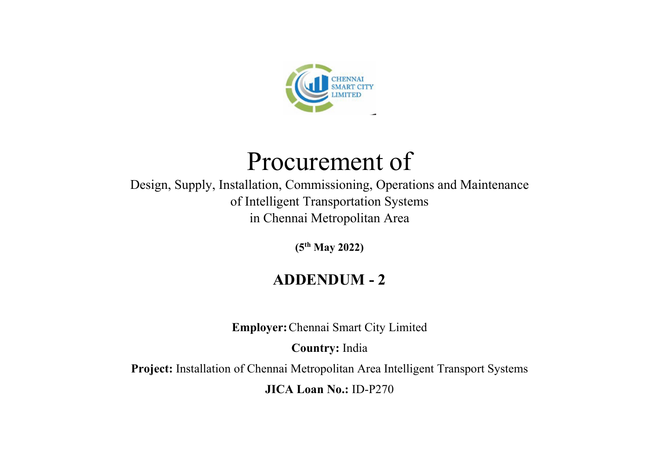

# Procurement of

Design, Supply, Installation, Commissioning, Operations and Maintenance of Intelligent Transportation Systems in Chennai Metropolitan Area

(5th May 2022)

# ADDENDUM - 2

Employer:Chennai Smart City Limited

Country: India

Project: Installation of Chennai Metropolitan Area Intelligent Transport Systems

JICA Loan No.: ID-P270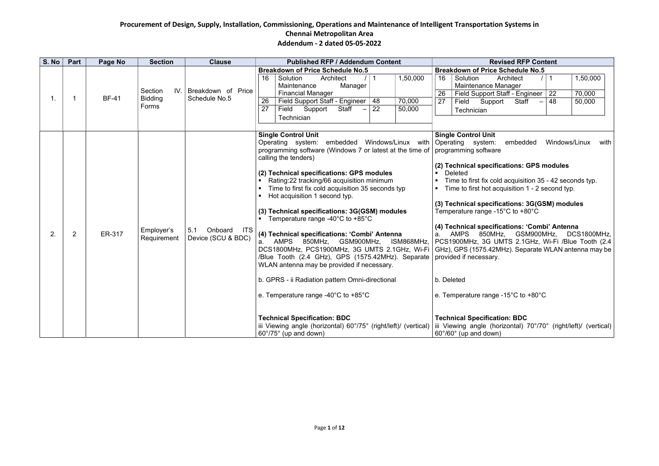| Part<br>Page No<br><b>Section</b><br><b>Clause</b><br><b>Published RFP / Addendum Content</b><br><b>Breakdown of Price Schedule No.5</b><br><b>Breakdown of Price Schedule No.5</b><br>$/$   1<br>1,50,000<br>Solution<br>Solution<br>Architect<br>16<br>16<br>Maintenance<br>Maintenance Manager<br>Manager<br>IV. Breakdown of Price<br>Section<br><b>Financial Manager</b><br>26<br><b>BF-41</b><br><b>Bidding</b><br>Schedule No.5<br>$\mathbf 1$ .<br>-1<br>Field Support Staff - Engineer   48<br>70,000<br>26<br>27<br>Field Support<br>Forms<br>Field Support Staff<br>$-$ 22<br>27<br>50,000<br>Technician<br>Technician<br><b>Single Control Unit</b><br><b>Single Control Unit</b><br>Operating system: embedded Windows/Linux with Operating system:<br>programming software (Windows 7 or latest at the time of<br>programming software<br>calling the tenders)<br>(2) Technical specifications: GPS modules<br>Deleted<br>$\blacksquare$<br>Rating:22 tracking/66 acquisition minimum<br>$\blacksquare$<br>Time to first fix cold acquisition 35 seconds typ<br>Hot acquisition 1 second typ.<br>$\blacksquare$<br>(3) Technical specifications: 3G(GSM) modules<br>Temperature range -15 $^{\circ}$ C to +80 $^{\circ}$ C<br><b>Temperature range -40°C to +85°C</b><br>Onboard ITS<br>Employer's<br>5.1<br>ER-317<br>(4) Technical specifications: 'Combi' Antenna<br>2.<br>$\overline{2}$<br>Device (SCU & BDC)<br>Requirement<br>a. AMPS 850MHz, GSM900MHz,<br>ISM868MHz, | S. No | <b>Revised RFP Content</b>                                                                                                                                                                                                                                                                                                                                                                                                                                                                                                     |
|---------------------------------------------------------------------------------------------------------------------------------------------------------------------------------------------------------------------------------------------------------------------------------------------------------------------------------------------------------------------------------------------------------------------------------------------------------------------------------------------------------------------------------------------------------------------------------------------------------------------------------------------------------------------------------------------------------------------------------------------------------------------------------------------------------------------------------------------------------------------------------------------------------------------------------------------------------------------------------------------------------------------------------------------------------------------------------------------------------------------------------------------------------------------------------------------------------------------------------------------------------------------------------------------------------------------------------------------------------------------------------------------------------------------------------------------------------------------------------------------|-------|--------------------------------------------------------------------------------------------------------------------------------------------------------------------------------------------------------------------------------------------------------------------------------------------------------------------------------------------------------------------------------------------------------------------------------------------------------------------------------------------------------------------------------|
|                                                                                                                                                                                                                                                                                                                                                                                                                                                                                                                                                                                                                                                                                                                                                                                                                                                                                                                                                                                                                                                                                                                                                                                                                                                                                                                                                                                                                                                                                             |       |                                                                                                                                                                                                                                                                                                                                                                                                                                                                                                                                |
|                                                                                                                                                                                                                                                                                                                                                                                                                                                                                                                                                                                                                                                                                                                                                                                                                                                                                                                                                                                                                                                                                                                                                                                                                                                                                                                                                                                                                                                                                             |       | 1,50,000<br>Architect<br>$/$   1<br>$\overline{70,000}$<br>Field Support Staff - Engineer 22                                                                                                                                                                                                                                                                                                                                                                                                                                   |
|                                                                                                                                                                                                                                                                                                                                                                                                                                                                                                                                                                                                                                                                                                                                                                                                                                                                                                                                                                                                                                                                                                                                                                                                                                                                                                                                                                                                                                                                                             |       | Staff<br>$-48$<br>50,000                                                                                                                                                                                                                                                                                                                                                                                                                                                                                                       |
|                                                                                                                                                                                                                                                                                                                                                                                                                                                                                                                                                                                                                                                                                                                                                                                                                                                                                                                                                                                                                                                                                                                                                                                                                                                                                                                                                                                                                                                                                             |       |                                                                                                                                                                                                                                                                                                                                                                                                                                                                                                                                |
| DCS1800MHz, PCS1900MHz, 3G UMTS 2.1GHz, Wi-Fi<br>/Blue Tooth (2.4 GHz), GPS (1575.42MHz). Separate<br>provided if necessary.<br>WLAN antenna may be provided if necessary.<br>b. GPRS - ii Radiation pattern Omni-directional<br>b. Deleted<br>e. Temperature range -40 $^{\circ}$ C to +85 $^{\circ}$ C<br>e. Temperature range -15 $^{\circ}$ C to +80 $^{\circ}$ C<br><b>Technical Specification: BDC</b><br><b>Technical Specification: BDC</b><br>iii Viewing angle (horizontal) 60°/75° (right/left)/ (vertical)<br>60°/75° (up and down)<br>60°/60° (up and down)                                                                                                                                                                                                                                                                                                                                                                                                                                                                                                                                                                                                                                                                                                                                                                                                                                                                                                                    |       | embedded<br>Windows/Linux<br>with<br>(2) Technical specifications: GPS modules<br>Time to first fix cold acquisition 35 - 42 seconds typ.<br>• Time to first hot acquisition 1 - 2 second typ.<br>(3) Technical specifications: 3G(GSM) modules<br>(4) Technical specifications: 'Combi' Antenna<br>a. AMPS 850MHz, GSM900MHz, DCS1800MHz,<br>PCS1900MHz, 3G UMTS 2.1GHz, Wi-Fi /Blue Tooth (2.4)<br>  GHz), GPS (1575.42MHz). Separate WLAN antenna may be<br>iii Viewing angle (horizontal) 70°/70° (right/left)/ (vertical) |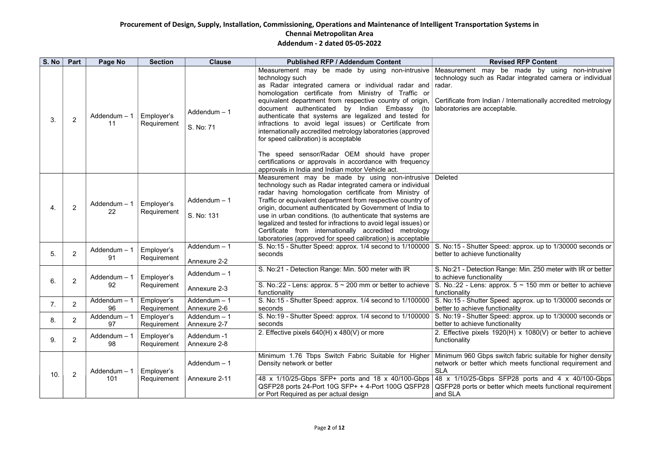## **S. No. 8 No. 7 No Section Content**

be made by using non-intrusive Radar integrated camera or individual

an / Internationally accredited metrology eptable.

peed: approx. up to 1/30000 seconds or ctionality

Range: Min. 250 meter with IR or better

 $\frac{1}{2}$  or  $\frac{1}{2}$  - 150 mm or better to achieve

peed: approx. up to 1/30000 seconds or ctionality

peed: approx. up to 1/30000 seconds or  $\operatorname{stionality}$ 

 $920(H)$  x 1080(V) or better to achieve

switch fabric suitable for higher density hich meets functional requirement and

 $SFP28$  ports and 4 x 40/100-Gbps tter which meets functional requirement

| S. No           | Part           | Page No                          | <b>Section</b>            | <b>Clause</b>                 | <b>Published RFP / Addendum Content</b>                                                                                                                                                                                                                                                                                                                                                                                                                                                                                                                 | Revi                                                                                                                                             |                                                                 |
|-----------------|----------------|----------------------------------|---------------------------|-------------------------------|---------------------------------------------------------------------------------------------------------------------------------------------------------------------------------------------------------------------------------------------------------------------------------------------------------------------------------------------------------------------------------------------------------------------------------------------------------------------------------------------------------------------------------------------------------|--------------------------------------------------------------------------------------------------------------------------------------------------|-----------------------------------------------------------------|
| 3.              | $\overline{2}$ | Addendum $-1$<br>11              | Employer's<br>Requirement | Addendum $-1$<br>S. No: 71    | Measurement may be made by using non-intrusive<br>technology such<br>as Radar integrated camera or individual radar and<br>homologation certificate from Ministry of Traffic or<br>equivalent department from respective country of origin,<br>document authenticated<br>by<br>Indian<br>Embassy<br>(to<br>authenticate that systems are legalized and tested for<br>infractions to avoid legal issues) or Certificate from<br>internationally accredited metrology laboratories (approved<br>for speed calibration) is acceptable                      | Measurement may b<br>technology such as Ra<br>radar.<br>Certificate from Indian<br>laboratories are accept                                       |                                                                 |
|                 |                |                                  |                           |                               | The speed sensor/Radar OEM should have proper<br>certifications or approvals in accordance with frequency<br>approvals in India and Indian motor Vehicle act.                                                                                                                                                                                                                                                                                                                                                                                           |                                                                                                                                                  |                                                                 |
| 4.              | $\overline{2}$ | Addendum - 1<br>22               | Employer's<br>Requirement | Addendum $-1$<br>S. No: 131   | Measurement may be made by using non-intrusive<br>technology such as Radar integrated camera or individual<br>radar having homologation certificate from Ministry of<br>Traffic or equivalent department from respective country of<br>origin, document authenticated by Government of India to<br>use in urban conditions. (to authenticate that systems are<br>legalized and tested for infractions to avoid legal issues) or<br>Certificate from internationally accredited metrology<br>laboratories (approved for speed calibration) is acceptable | <b>Deleted</b>                                                                                                                                   |                                                                 |
| 5.              | $\overline{2}$ | Addendum - 1<br>91               | Employer's<br>Requirement | Addendum $-1$<br>Annexure 2-2 | S. No:15 - Shutter Speed: approx. 1/4 second to 1/100000<br>seconds                                                                                                                                                                                                                                                                                                                                                                                                                                                                                     | S. No:15 - Shutter Spee<br>better to achieve function                                                                                            |                                                                 |
| 6.              | $\overline{2}$ | $Addendum - 1$<br>92             | Employer's<br>Requirement | Addendum $-1$<br>Annexure 2-3 | S. No:21 - Detection Range: Min. 500 meter with IR<br>S. No.:22 - Lens: approx. $5 \sim 200$ mm or better to achieve                                                                                                                                                                                                                                                                                                                                                                                                                                    | S. No:21 - Detection Ra<br>to achieve functionality<br>S. No.:22 - Lens: appro                                                                   |                                                                 |
| $\mathcal{L}$ . | 2              | Addendum $-1$   Employer's<br>96 | Requirement               | Addendum - 1<br>Annexure 2-6  | functionality<br>S. No:15 - Shutter Speed: approx. 1/4 second to 1/100000   S. No:15 - Shutter Spee<br>seconds                                                                                                                                                                                                                                                                                                                                                                                                                                          | functionality<br>better to achieve function                                                                                                      |                                                                 |
| 8.              | $\overline{2}$ | Addendum - 1<br>97               | Employer's<br>Requirement | Addendum - 1<br>Annexure 2-7  | S. No:19 - Shutter Speed: approx. 1/4 second to 1/100000<br>seconds                                                                                                                                                                                                                                                                                                                                                                                                                                                                                     | S. No:19 - Shutter Spee<br>better to achieve function                                                                                            |                                                                 |
| 9.              | $\overline{2}$ | Addendum - 1<br>98               | Employer's<br>Requirement | Addendum -1<br>Annexure 2-8   | 2. Effective pixels 640(H) x 480(V) or more                                                                                                                                                                                                                                                                                                                                                                                                                                                                                                             | 2. Effective pixels 192<br>functionality                                                                                                         |                                                                 |
|                 |                | Addendum - 1                     | Employer's                | $Addendum - 1$                | Minimum 1.76 Tbps Switch Fabric Suitable for Higher<br>Density network or better                                                                                                                                                                                                                                                                                                                                                                                                                                                                        | Minimum 960 Gbps sw<br>network or better whic<br><b>SLA</b>                                                                                      |                                                                 |
| 10.             | 2              |                                  | 101                       | Requirement                   | Annexure 2-11                                                                                                                                                                                                                                                                                                                                                                                                                                                                                                                                           | 48 x 1/10/25-Gbps SFP+ ports and 18 x 40/100-Gbps<br>QSFP28 ports 24-Port 10G SFP+ + 4-Port 100G QSFP28<br>or Port Required as per actual design | 48 x 1/10/25-Gbps S<br><b>QSFP28 ports or better</b><br>and SLA |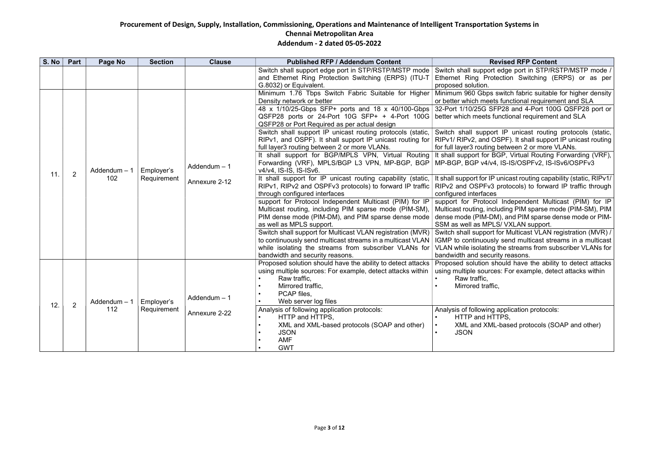| <b>Addendum - 2 dated 05-05-2022</b> |  |  |
|--------------------------------------|--|--|
|--------------------------------------|--|--|

#### vised RFP Content

edge port in STP/RSTP/MSTP mode / ection Switching (ERPS) or as per

switch fabric suitable for higher density  $\mathfrak s$  functional requirement and SLA  $\mathfrak s$ 32-Port 1/10/25G SFP28 and 4-Port 100G QSFP28 port or inctional requirement and SLA

IP unicast routing protocols (static,  $SPF$ ). It shall support IP unicast routing between 2 or more VLANs.

It shall support for BGP, Virtual Routing Forwarding (VRF), MP-BGP, BGP v4/v4, IS-IS/OSPFv2, IS-ISv6/OSPFv3

> $\frac{1}{10}$  unicast routing capability (static, RIPv1/ protocols) to forward IP traffic through

> Independent Multicast (PIM) for IP uding PIM sparse mode (PIM-SM), PIM  $\vert$ l), and PIM sparse dense mode or PIM-S/ VXLAN support.

> for Multicast VLAN registration (MVR) / send multicast streams in a multicast the streams from subscriber VLANs for ty reasons.

> ould have the ability to detect attacks s: For example, detect attacks within

application protocols: rps, -based protocols (SOAP and other)

| S. No | Part           | Page No              | <b>Section</b>            | <b>Clause</b>                 | <b>Published RFP / Addendum Content</b>                                                                                                                                                                                                                                                                                                                                                                                                                                                                                                                                                                                                                                                                                                                                                                                                                                                                                                                                                                                                                                                                                                         | <b>Rev</b>                                                                                                                                                                                                                                                                                                                                                                                                                                                                                                                  |
|-------|----------------|----------------------|---------------------------|-------------------------------|-------------------------------------------------------------------------------------------------------------------------------------------------------------------------------------------------------------------------------------------------------------------------------------------------------------------------------------------------------------------------------------------------------------------------------------------------------------------------------------------------------------------------------------------------------------------------------------------------------------------------------------------------------------------------------------------------------------------------------------------------------------------------------------------------------------------------------------------------------------------------------------------------------------------------------------------------------------------------------------------------------------------------------------------------------------------------------------------------------------------------------------------------|-----------------------------------------------------------------------------------------------------------------------------------------------------------------------------------------------------------------------------------------------------------------------------------------------------------------------------------------------------------------------------------------------------------------------------------------------------------------------------------------------------------------------------|
|       |                |                      |                           |                               | Switch shall support edge port in STP/RSTP/MSTP mode<br>and Ethernet Ring Protection Switching (ERPS) (ITU-T<br>G.8032) or Equivalent.                                                                                                                                                                                                                                                                                                                                                                                                                                                                                                                                                                                                                                                                                                                                                                                                                                                                                                                                                                                                          | Switch shall support e<br>Ethernet Ring Proted<br>proposed solution.                                                                                                                                                                                                                                                                                                                                                                                                                                                        |
| 11.   | $\overline{2}$ | Addendum - 1<br>102  | Employer's<br>Requirement | Addendum - 1<br>Annexure 2-12 | Minimum 1.76 Tbps Switch Fabric Suitable for Higher<br>Density network or better<br>48 x 1/10/25-Gbps SFP+ ports and 18 x 40/100-Gbps<br>QSFP28 ports or 24-Port 10G SFP+ + 4-Port 100G<br>QSFP28 or Port Required as per actual design<br>Switch shall support IP unicast routing protocols (static,<br>RIPv1, and OSPF). It shall support IP unicast routing for<br>full layer3 routing between 2 or more VLANs.<br>It shall support for BGP/MPLS VPN, Virtual Routing<br>Forwarding (VRF), MPLS/BGP L3 VPN, MP-BGP, BGP<br>v4/v4, IS-IS, IS-ISv6.<br>It shall support for IP unicast routing capability (static,<br>RIPv1, RIPv2 and OSPFv3 protocols) to forward IP traffic<br>through configured interfaces<br>support for Protocol Independent Multicast (PIM) for IP<br>Multicast routing, including PIM sparse mode (PIM-SM),<br>PIM dense mode (PIM-DM), and PIM sparse dense mode<br>as well as MPLS support.<br>Switch shall support for Multicast VLAN registration (MVR)<br>to continuously send multicast streams in a multicast VLAN<br>while isolating the streams from subscriber VLANs for<br>bandwidth and security reasons. | Minimum 960 Gbps sv<br>or better which meets f<br>32-Port 1/10/25G SFP<br>better which meets fun<br>Switch shall support<br>RIPv1/ RIPv2, and OS<br>for full layer3 routing be<br>It shall support for BG<br>MP-BGP, BGP v4/v4, I<br>It shall support for IP ur<br>RIPv2 and OSPFv3 pr<br>configured interfaces<br>support for Protocol<br>Multicast routing, inclue<br>dense mode (PIM-DM)<br>SSM as well as MPLS/<br>Switch shall support fo<br>IGMP to continuously<br>VLAN while isolating th<br>bandwidth and security |
| 12.   | $\overline{2}$ | Addendum $-1$<br>112 | Employer's<br>Requirement | Addendum - 1<br>Annexure 2-22 | Proposed solution should have the ability to detect attacks<br>using multiple sources: For example, detect attacks within<br>Raw traffic,<br>Mirrored traffic,<br>PCAP files.<br>Web server log files<br>Analysis of following application protocols:<br>HTTP and HTTPS,<br>XML and XML-based protocols (SOAP and other)<br><b>JSON</b><br><b>AMF</b><br><b>GWT</b>                                                                                                                                                                                                                                                                                                                                                                                                                                                                                                                                                                                                                                                                                                                                                                             | Proposed solution sho<br>using multiple sources:<br>Raw traffic,<br>Mirrored traffic,<br>Analysis of following ap<br><b>HTTP and HTTI</b><br><b>XML and XML-b</b><br><b>JSON</b>                                                                                                                                                                                                                                                                                                                                            |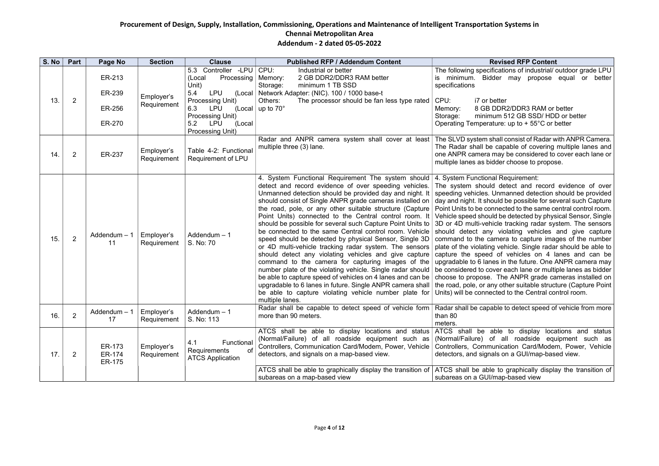#### vised RFP Content

ations of industrial/ outdoor grade LPU er may propose equal or better

ter DR2/DDR3 RAM or better m 512 GB SSD/ HDD or better re: up to  $+ 55^{\circ}$ C or better

all consist of Radar with ANPR Camera. apable of covering multiple lanes and ay be considered to cover each lane or der choose to propose.

#### Requirement:

detect and record evidence of over imanned detection should be provided Id be possible for several such Capture ected to the same central control room. be detected by physical Sensor, Single le tracking radar system. The sensors violating vehicles and give capture nera to capture images of the number vehicle. Single radar should be able to of vehicles on 4 lanes and can be  $\mu$  in the future. One ANPR camera may er each lane or multiple lanes as bidder The ANPR grade cameras installed on other suitable structure (Capture Point ed to the Central control room.

le to detect speed of vehicle from more

le to display locations and status all roadside equipment such as iication Card/Modem, Power, Vehicle on a GUI/map-based view.

to graphically display the transition of ap-based view

| S. No | Part           | Page No                    | <b>Section</b>            | <b>Clause</b>                                                                          | <b>Published RFP / Addendum Content</b>                                                                                                                                                                                                                                                                                                                                                                                                                                                                                                                                                                                                                                                                                                                                                                                                                                                                                                                                                 | Re                                                                                                                                                                                                                                                                                                                                                                                                 |
|-------|----------------|----------------------------|---------------------------|----------------------------------------------------------------------------------------|-----------------------------------------------------------------------------------------------------------------------------------------------------------------------------------------------------------------------------------------------------------------------------------------------------------------------------------------------------------------------------------------------------------------------------------------------------------------------------------------------------------------------------------------------------------------------------------------------------------------------------------------------------------------------------------------------------------------------------------------------------------------------------------------------------------------------------------------------------------------------------------------------------------------------------------------------------------------------------------------|----------------------------------------------------------------------------------------------------------------------------------------------------------------------------------------------------------------------------------------------------------------------------------------------------------------------------------------------------------------------------------------------------|
| 13.   |                | ER-213<br>ER-239           | Employer's                | Controller -LPU<br>5.3<br>Processing<br>(Local<br>Unit)<br>5.4<br><b>LPU</b><br>(Local | CPU:<br>Industrial or better<br>2 GB DDR2/DDR3 RAM better<br>Memory:<br>minimum 1 TB SSD<br>Storage:<br>Network Adapter: (NIC). 100 / 1000 base-t                                                                                                                                                                                                                                                                                                                                                                                                                                                                                                                                                                                                                                                                                                                                                                                                                                       | The following specific<br>minimum.<br>Bidde<br>IS.<br>specifications                                                                                                                                                                                                                                                                                                                               |
|       | $\overline{2}$ |                            | ER-256<br>ER-270          | Requirement                                                                            | Processing Unit)<br>6.3<br><b>LPU</b><br>(Local<br><b>Processing Unit)</b><br>5.2<br><b>LPU</b><br>(Local<br><b>Processing Unit)</b>                                                                                                                                                                                                                                                                                                                                                                                                                                                                                                                                                                                                                                                                                                                                                                                                                                                    | Others:<br>The processor should be fan less type rated<br>up to $70^\circ$                                                                                                                                                                                                                                                                                                                         |
| 14.   | $\overline{2}$ | ER-237                     | Employer's<br>Requirement | Table 4-2: Functional<br>Requirement of LPU                                            | Radar and ANPR camera system shall cover at least<br>The SLVD system sha<br>multiple three (3) lane.<br>The Radar shall be c<br>one ANPR camera ma<br>multiple lanes as bidd                                                                                                                                                                                                                                                                                                                                                                                                                                                                                                                                                                                                                                                                                                                                                                                                            |                                                                                                                                                                                                                                                                                                                                                                                                    |
| 15.   | $\overline{2}$ | Addendum - 1<br>11         | Employer's<br>Requirement | Addendum - 1<br>S. No: 70                                                              | 4. System Functional Requirement The system should<br>detect and record evidence of over speeding vehicles.<br>Unmanned detection should be provided day and night. It<br>should consist of Single ANPR grade cameras installed on<br>the road, pole, or any other suitable structure (Capture<br>Point Units) connected to the Central control room. It<br>should be possible for several such Capture Point Units to<br>be connected to the same Central control room. Vehicle<br>speed should be detected by physical Sensor, Single 3D<br>or 4D multi-vehicle tracking radar system. The sensors<br>should detect any violating vehicles and give capture<br>command to the camera for capturing images of the<br>number plate of the violating vehicle. Single radar should<br>be able to capture speed of vehicles on 4 lanes and can be<br>upgradable to 6 lanes in future. Single ANPR camera shall<br>be able to capture violating vehicle number plate for<br>multiple lanes. | 4. System Functional<br>The system should<br>speeding vehicles. Ur<br>day and night. It shoul<br>Point Units to be conn<br>Vehicle speed should<br>3D or 4D multi-vehicl<br>should detect any<br>command to the cam<br>plate of the violating<br>capture the speed o<br>upgradable to 6 lanes<br>be considered to cove<br>choose to propose. 7<br>the road, pole, or any<br>Units) will be connect |
| 16.   | $\overline{2}$ | Addendum $-1$<br>17        | Employer's<br>Requirement | Addendum - 1<br>S. No: 113                                                             | Radar shall be capable to detect speed of vehicle form<br>more than 90 meters.                                                                                                                                                                                                                                                                                                                                                                                                                                                                                                                                                                                                                                                                                                                                                                                                                                                                                                          | Radar shall be capabl<br>than 80<br>meters.                                                                                                                                                                                                                                                                                                                                                        |
| 17.   | $\mathbf{2}$   | ER-173<br>ER-174<br>ER-175 | Employer's<br>Requirement | Functional<br>4.1<br>of<br>Requirements<br><b>ATCS Application</b>                     | ATCS shall be able to display locations and status<br>(Normal/Failure) of all roadside equipment such as<br>Controllers, Communication Card/Modem, Power, Vehicle<br>detectors, and signals on a map-based view.<br>ATCS shall be able to graphically display the transition of   ATCS shall be able t                                                                                                                                                                                                                                                                                                                                                                                                                                                                                                                                                                                                                                                                                  | ATCS shall<br>be abl<br>(Normal/Failure) of<br>Controllers, Commun<br>detectors, and signals                                                                                                                                                                                                                                                                                                       |
|       |                |                            |                           |                                                                                        | subareas on a map-based view                                                                                                                                                                                                                                                                                                                                                                                                                                                                                                                                                                                                                                                                                                                                                                                                                                                                                                                                                            | subareas on a GUI/m                                                                                                                                                                                                                                                                                                                                                                                |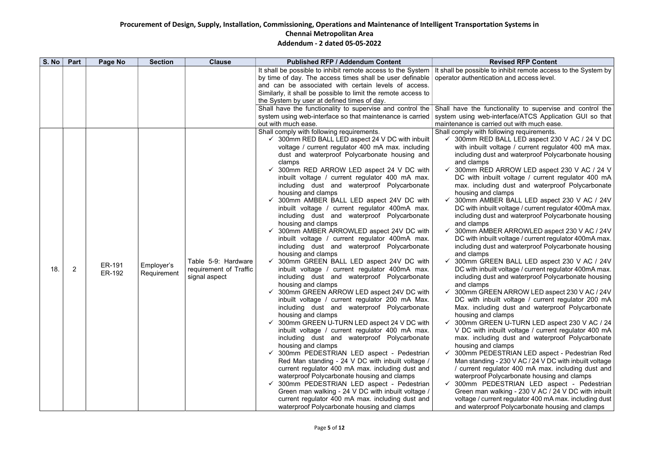#### vised RFP Content

inhibit remote access to the System by on and access level.

ionality to supervise and control the terface/ATCS Application GUI so that d out with much ease.

**Shall complements** with the powing requirements.

3ALL LED aspect 230 V AC / 24 V DC tage / current regulator 400 mA max. and waterproof Polycarbonate housing

ARROW LED aspect 230 V AC / 24 V It voltage / current regulator 400 mA dust and waterproof Polycarbonate lamps

R BALL LED aspect 230 V AC / 24V voltage / current regulator 400mA max. and waterproof Polycarbonate housing

R ARROWLED aspect 230 V AC / 24V voltage / current regulator 400mA max. and waterproof Polycarbonate housing

IN BALL LED aspect 230 V AC / 24V voltage / current regulator 400mA max. and waterproof Polycarbonate housing

N ARROW LED aspect 230 V AC / 24V It voltage / current regulator 200 mA dust and waterproof Polycarbonate amps

N U-TURN LED aspect 230 V AC / 24 uilt voltage / current regulator 400 mA dust and waterproof Polycarbonate amps

STRIAN LED aspect - Pedestrian Red  $230$  V AC / 24 V DC with inbuilt voltage ator 400 mA max. including dust and ycarbonate housing and clamps

**ESTRIAN LED aspect - Pedestrian** Iking - 230 V AC / 24 V DC with inbuilt nt regulator 400 mA max. including dust Polycarbonate housing and clamps

| S. No | Part           | Page No          | <b>Section</b>            | <b>Clause</b>                                                  | <b>Published RFP / Addendum Content</b>                                                                                                                                                                                                                                                                                                                                                                                                                                                                                                                                                                                                                                                                                                                                                                                                                                                                                                                                                                                                                                                                                                                                                                                                                                                                                                                                                                                                                                                                                                                                                                                                                                          | Re <sup></sup>                                                                                                                                                                                                                                                                                                                                                                                                                                                                                                                                                                                                                                                                                       |
|-------|----------------|------------------|---------------------------|----------------------------------------------------------------|----------------------------------------------------------------------------------------------------------------------------------------------------------------------------------------------------------------------------------------------------------------------------------------------------------------------------------------------------------------------------------------------------------------------------------------------------------------------------------------------------------------------------------------------------------------------------------------------------------------------------------------------------------------------------------------------------------------------------------------------------------------------------------------------------------------------------------------------------------------------------------------------------------------------------------------------------------------------------------------------------------------------------------------------------------------------------------------------------------------------------------------------------------------------------------------------------------------------------------------------------------------------------------------------------------------------------------------------------------------------------------------------------------------------------------------------------------------------------------------------------------------------------------------------------------------------------------------------------------------------------------------------------------------------------------|------------------------------------------------------------------------------------------------------------------------------------------------------------------------------------------------------------------------------------------------------------------------------------------------------------------------------------------------------------------------------------------------------------------------------------------------------------------------------------------------------------------------------------------------------------------------------------------------------------------------------------------------------------------------------------------------------|
|       |                |                  |                           |                                                                | It shall be possible to inhibit remote access to the System<br>by time of day. The access times shall be user definable<br>and can be associated with certain levels of access.<br>Similarly, it shall be possible to limit the remote access to<br>the System by user at defined times of day.<br>Shall have the functionality to supervise and control the<br>system using web-interface so that maintenance is carried<br>out with much ease.                                                                                                                                                                                                                                                                                                                                                                                                                                                                                                                                                                                                                                                                                                                                                                                                                                                                                                                                                                                                                                                                                                                                                                                                                                 | It shall be possible to<br>operator authenticatio<br>Shall have the funct<br>system using web-int<br>maintenance is carried                                                                                                                                                                                                                                                                                                                                                                                                                                                                                                                                                                          |
| 18.   | $\overline{2}$ | ER-191<br>ER-192 | Employer's<br>Requirement | Table 5-9: Hardware<br>requirement of Traffic<br>signal aspect | Shall comply with following requirements.<br>$\checkmark$ 300mm RED BALL LED aspect 24 V DC with inbuilt<br>voltage / current regulator 400 mA max. including<br>dust and waterproof Polycarbonate housing and<br>clamps<br>$\checkmark$ 300mm RED ARROW LED aspect 24 V DC with<br>inbuilt voltage / current regulator 400 mA max.<br>including dust and waterproof Polycarbonate<br>housing and clamps<br>300mm AMBER BALL LED aspect 24V DC with<br>inbuilt voltage / current regulator 400mA max.<br>including dust and waterproof Polycarbonate<br>housing and clamps<br>300mm AMBER ARROWLED aspect 24V DC with<br>inbuilt voltage / current regulator 400mA max.<br>including dust and waterproof Polycarbonate<br>housing and clamps<br>300mm GREEN BALL LED aspect 24V DC with<br>inbuilt voltage / current regulator 400mA max.<br>including dust and waterproof Polycarbonate<br>housing and clamps<br>300mm GREEN ARROW LED aspect 24V DC with<br>inbuilt voltage / current regulator 200 mA Max.<br>including dust and waterproof Polycarbonate<br>housing and clamps<br>$\checkmark$ 300mm GREEN U-TURN LED aspect 24 V DC with<br>inbuilt voltage / current regulator 400 mA max.<br>including dust and waterproof Polycarbonate<br>housing and clamps<br>300mm PEDESTRIAN LED aspect - Pedestrian<br>Red Man standing - 24 V DC with inbuilt voltage /<br>current regulator 400 mA max. including dust and<br>waterproof Polycarbonate housing and clamps<br>√ 300mm PEDESTRIAN LED aspect - Pedestrian<br>Green man walking - 24 V DC with inbuilt voltage /<br>current regulator 400 mA max. including dust and<br>waterproof Polycarbonate housing and clamps | Shall comply with follo<br>$\checkmark$ 300mm RED B<br>with inbuilt volt<br>including dust a<br>and clamps<br>300mm RED A<br>$\checkmark$<br>DC with inbuil<br>max. including<br>housing and cla<br>300mm AMBE<br>DC with inbuilt<br>including dust a<br>and clamps<br>300mm AMBEI<br>DC with inbuilt<br>including dust a<br>and clamps<br>300mm GREE<br>✓<br>DC with inbuilt<br>including dust a<br>and clamps<br>300mm GREEI<br>DC with inbuil<br>Max. including<br>housing and cla<br>√ 300mm GREE<br>V DC with inbu<br>max. including<br>housing and cla<br>300mm PEDE<br>Man standing -<br>current regula<br>waterproof Pol<br>300mm PEDE<br>Green man wa<br>voltage / currer<br>and waterproof |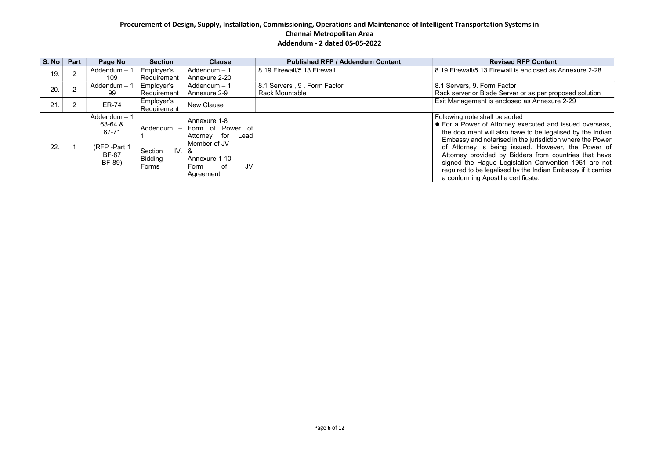## **S. No. 8 No. 7 No Section Content**

ewall is enclosed as Annexure 2-28

# Factor

Server or as per proposed solution<br>enclosed as Annexure 2-29

#### be added

torney executed and issued overseas, the document will also have to be legalised by the Indian rised in the jurisdiction where the Power  $\mathsf{A}$  issued. However, the Power of by Bidders from countries that have Legislation Convention 1961 are not required to be legalised by the Indian Embassy if it carries

| S. No | Part | Page No                                                                    | <b>Section</b>                                 | <b>Clause</b>                                                                                                                     | <b>Published RFP / Addendum Content</b>              | <b>Revised RFP Content</b>                                                                                                                                                                                                                                                                                                                                                                                             |
|-------|------|----------------------------------------------------------------------------|------------------------------------------------|-----------------------------------------------------------------------------------------------------------------------------------|------------------------------------------------------|------------------------------------------------------------------------------------------------------------------------------------------------------------------------------------------------------------------------------------------------------------------------------------------------------------------------------------------------------------------------------------------------------------------------|
| 19.   |      | Addendum - 1<br>109                                                        | Employer's<br>Requirement                      | Addendum $-1$<br>Annexure 2-20                                                                                                    | 8.19 Firewall/5.13 Firewall                          | 8.19 Firewall/5.13 Firewall is enclosed as Annexi                                                                                                                                                                                                                                                                                                                                                                      |
| 20.   |      | Addendum - 1<br>99                                                         | Employer's<br>Requirement                      | Addendum $-1$<br>Annexure 2-9                                                                                                     | 8.1 Servers, 9. Form Factor<br><b>Rack Mountable</b> | 8.1 Servers, 9. Form Factor<br>Rack server or Blade Server or as per proposed                                                                                                                                                                                                                                                                                                                                          |
| 21.   |      | <b>ER-74</b>                                                               | Employer's<br>Requirement                      | <b>New Clause</b>                                                                                                                 |                                                      | Exit Management is enclosed as Annexure 2-29                                                                                                                                                                                                                                                                                                                                                                           |
| 22.   |      | Addendum $-1$<br>63-64 &<br>67-71<br>(RFP-Part 1<br><b>BF-87</b><br>BF-89) | Addendum<br>IV.<br>Section<br>Bidding<br>Forms | Annexure 1-8<br>Form of Power of<br>Attorney for<br>Lead<br>Member of JV<br>&<br>Annexure 1-10<br>JV<br>Form<br>. of<br>Agreement |                                                      | Following note shall be added<br>• For a Power of Attorney executed and issued<br>the document will also have to be legalised by<br>Embassy and notarised in the jurisdiction where<br>of Attorney is being issued. However, the<br>Attorney provided by Bidders from countries<br>signed the Hague Legislation Convention 19<br>required to be legalised by the Indian Embassy<br>a conforming Apostille certificate. |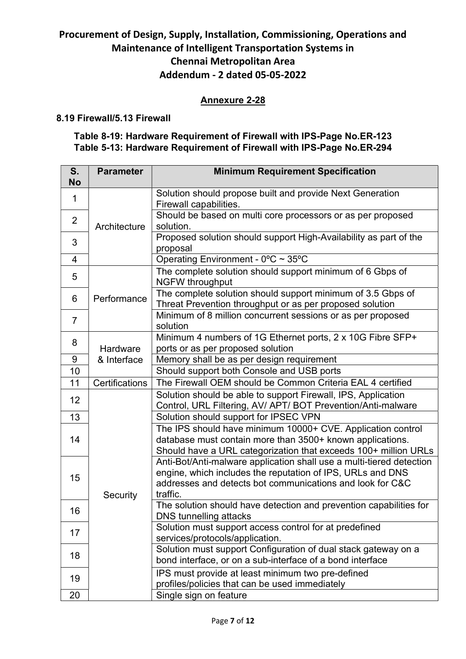# Annexure 2-28

#### 8.19 Firewall/5.13 Firewall

# Table 8-19: Hardware Requirement of Firewall with IPS-Page No.ER-123 Table 5-13: Hardware Requirement of Firewall with IPS-Page No.ER-294

| S.<br><b>No</b> | <b>Parameter</b>        | <b>Minimum Requirement Specification</b>                                                                                                                                                                    |
|-----------------|-------------------------|-------------------------------------------------------------------------------------------------------------------------------------------------------------------------------------------------------------|
| $\mathbf{1}$    |                         | Solution should propose built and provide Next Generation<br>Firewall capabilities.                                                                                                                         |
| $\overline{2}$  | Architecture            | Should be based on multi core processors or as per proposed<br>solution.                                                                                                                                    |
| 3               |                         | Proposed solution should support High-Availability as part of the<br>proposal                                                                                                                               |
| $\overline{4}$  |                         | Operating Environment - 0°C ~ 35°C                                                                                                                                                                          |
| 5               |                         | The complete solution should support minimum of 6 Gbps of<br><b>NGFW throughput</b>                                                                                                                         |
| 6               | Performance             | The complete solution should support minimum of 3.5 Gbps of<br>Threat Prevention throughput or as per proposed solution                                                                                     |
| $\overline{7}$  |                         | Minimum of 8 million concurrent sessions or as per proposed<br>solution                                                                                                                                     |
| 8               | Hardware<br>& Interface | Minimum 4 numbers of 1G Ethernet ports, 2 x 10G Fibre SFP+<br>ports or as per proposed solution                                                                                                             |
| 9               |                         | Memory shall be as per design requirement                                                                                                                                                                   |
| 10              |                         | Should support both Console and USB ports                                                                                                                                                                   |
| 11              | Certifications          | The Firewall OEM should be Common Criteria EAL 4 certified                                                                                                                                                  |
| 12              |                         | Solution should be able to support Firewall, IPS, Application<br>Control, URL Filtering, AV/ APT/ BOT Prevention/Anti-malware                                                                               |
| 13              |                         | Solution should support for IPSEC VPN                                                                                                                                                                       |
| 14              |                         | The IPS should have minimum 10000+ CVE. Application control<br>database must contain more than 3500+ known applications.<br>Should have a URL categorization that exceeds 100+ million URLs                 |
| 15              | Security                | Anti-Bot/Anti-malware application shall use a multi-tiered detection<br>engine, which includes the reputation of IPS, URLs and DNS<br>addresses and detects bot communications and look for C&C<br>traffic. |
| 16              |                         | The solution should have detection and prevention capabilities for<br>DNS tunnelling attacks                                                                                                                |
| 17              |                         | Solution must support access control for at predefined<br>services/protocols/application.                                                                                                                   |
| 18              |                         | Solution must support Configuration of dual stack gateway on a<br>bond interface, or on a sub-interface of a bond interface                                                                                 |
| 19              |                         | IPS must provide at least minimum two pre-defined                                                                                                                                                           |
|                 |                         | profiles/policies that can be used immediately                                                                                                                                                              |
| 20              |                         | Single sign on feature                                                                                                                                                                                      |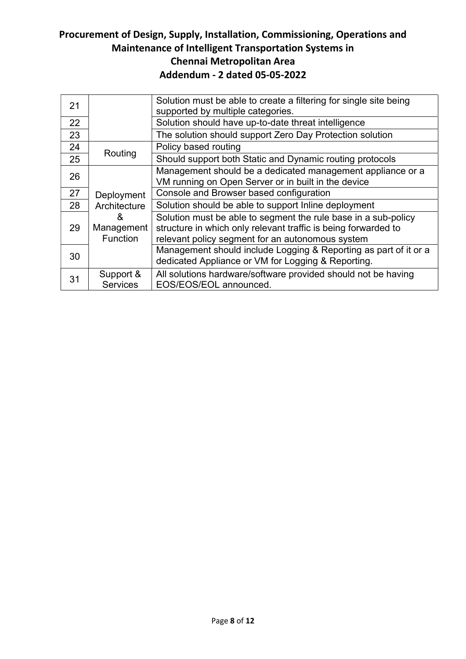| 21 |                 | Solution must be able to create a filtering for single site being |
|----|-----------------|-------------------------------------------------------------------|
|    |                 | supported by multiple categories.                                 |
| 22 |                 | Solution should have up-to-date threat intelligence               |
| 23 |                 | The solution should support Zero Day Protection solution          |
| 24 |                 | Policy based routing                                              |
| 25 | Routing         | Should support both Static and Dynamic routing protocols          |
| 26 |                 | Management should be a dedicated management appliance or a        |
|    |                 | VM running on Open Server or in built in the device               |
| 27 | Deployment      | Console and Browser based configuration                           |
| 28 | Architecture    | Solution should be able to support Inline deployment              |
|    | &               | Solution must be able to segment the rule base in a sub-policy    |
| 29 | Management      | structure in which only relevant traffic is being forwarded to    |
|    | Function        | relevant policy segment for an autonomous system                  |
|    |                 | Management should include Logging & Reporting as part of it or a  |
| 30 |                 | dedicated Appliance or VM for Logging & Reporting.                |
| 31 | Support &       | All solutions hardware/software provided should not be having     |
|    | <b>Services</b> | EOS/EOS/EOL announced.                                            |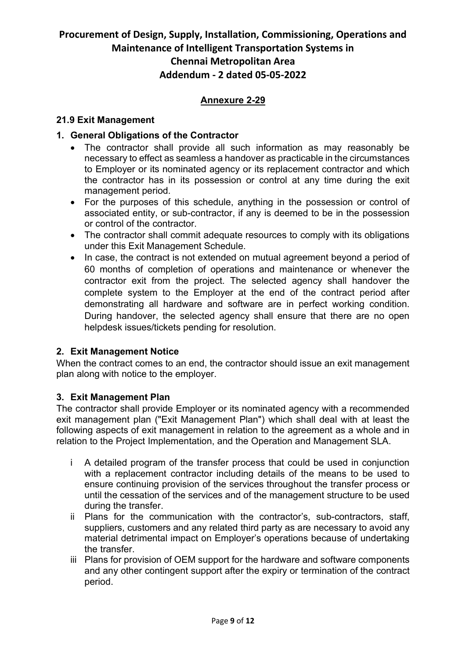# Annexure 2-29

#### 21.9 Exit Management

#### 1. General Obligations of the Contractor

- The contractor shall provide all such information as may reasonably be necessary to effect as seamless a handover as practicable in the circumstances to Employer or its nominated agency or its replacement contractor and which the contractor has in its possession or control at any time during the exit management period.
- For the purposes of this schedule, anything in the possession or control of associated entity, or sub-contractor, if any is deemed to be in the possession or control of the contractor.
- The contractor shall commit adequate resources to comply with its obligations under this Exit Management Schedule.
- In case, the contract is not extended on mutual agreement beyond a period of 60 months of completion of operations and maintenance or whenever the contractor exit from the project. The selected agency shall handover the complete system to the Employer at the end of the contract period after demonstrating all hardware and software are in perfect working condition. During handover, the selected agency shall ensure that there are no open helpdesk issues/tickets pending for resolution.

#### 2. Exit Management Notice

When the contract comes to an end, the contractor should issue an exit management plan along with notice to the employer.

#### 3. Exit Management Plan

The contractor shall provide Employer or its nominated agency with a recommended exit management plan ("Exit Management Plan") which shall deal with at least the following aspects of exit management in relation to the agreement as a whole and in relation to the Project Implementation, and the Operation and Management SLA.

- i A detailed program of the transfer process that could be used in conjunction with a replacement contractor including details of the means to be used to ensure continuing provision of the services throughout the transfer process or until the cessation of the services and of the management structure to be used during the transfer.
- ii Plans for the communication with the contractor's, sub-contractors, staff, suppliers, customers and any related third party as are necessary to avoid any material detrimental impact on Employer's operations because of undertaking the transfer.
- iii Plans for provision of OEM support for the hardware and software components and any other contingent support after the expiry or termination of the contract period.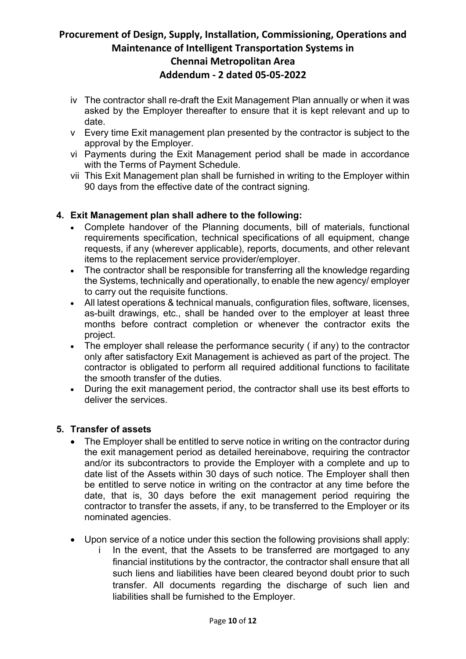- iv The contractor shall re-draft the Exit Management Plan annually or when it was asked by the Employer thereafter to ensure that it is kept relevant and up to date.
- v Every time Exit management plan presented by the contractor is subject to the approval by the Employer.
- vi Payments during the Exit Management period shall be made in accordance with the Terms of Payment Schedule.
- vii This Exit Management plan shall be furnished in writing to the Employer within 90 days from the effective date of the contract signing.

#### 4. Exit Management plan shall adhere to the following:

- Complete handover of the Planning documents, bill of materials, functional requirements specification, technical specifications of all equipment, change requests, if any (wherever applicable), reports, documents, and other relevant items to the replacement service provider/employer.
- The contractor shall be responsible for transferring all the knowledge regarding the Systems, technically and operationally, to enable the new agency/ employer to carry out the requisite functions.
- All latest operations & technical manuals, configuration files, software, licenses, as-built drawings, etc., shall be handed over to the employer at least three months before contract completion or whenever the contractor exits the project.
- The employer shall release the performance security ( if any) to the contractor only after satisfactory Exit Management is achieved as part of the project. The contractor is obligated to perform all required additional functions to facilitate the smooth transfer of the duties.
- During the exit management period, the contractor shall use its best efforts to deliver the services.

#### 5. Transfer of assets

- The Employer shall be entitled to serve notice in writing on the contractor during the exit management period as detailed hereinabove, requiring the contractor and/or its subcontractors to provide the Employer with a complete and up to date list of the Assets within 30 days of such notice. The Employer shall then be entitled to serve notice in writing on the contractor at any time before the date, that is, 30 days before the exit management period requiring the contractor to transfer the assets, if any, to be transferred to the Employer or its nominated agencies.
- Upon service of a notice under this section the following provisions shall apply:
	- In the event, that the Assets to be transferred are mortgaged to any financial institutions by the contractor, the contractor shall ensure that all such liens and liabilities have been cleared beyond doubt prior to such transfer. All documents regarding the discharge of such lien and liabilities shall be furnished to the Employer.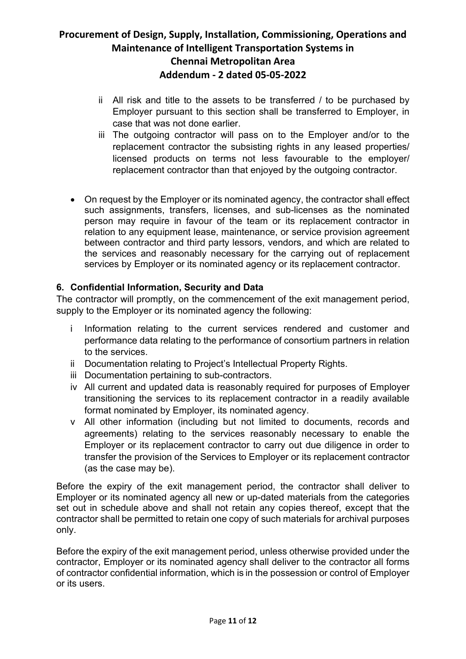- ii All risk and title to the assets to be transferred / to be purchased by Employer pursuant to this section shall be transferred to Employer, in case that was not done earlier.
- iii The outgoing contractor will pass on to the Employer and/or to the replacement contractor the subsisting rights in any leased properties/ licensed products on terms not less favourable to the employer/ replacement contractor than that enjoyed by the outgoing contractor.
- On request by the Employer or its nominated agency, the contractor shall effect such assignments, transfers, licenses, and sub-licenses as the nominated person may require in favour of the team or its replacement contractor in relation to any equipment lease, maintenance, or service provision agreement between contractor and third party lessors, vendors, and which are related to the services and reasonably necessary for the carrying out of replacement services by Employer or its nominated agency or its replacement contractor.

# 6. Confidential Information, Security and Data

The contractor will promptly, on the commencement of the exit management period, supply to the Employer or its nominated agency the following:

- i Information relating to the current services rendered and customer and performance data relating to the performance of consortium partners in relation to the services.
- ii Documentation relating to Project's Intellectual Property Rights.
- iii Documentation pertaining to sub-contractors.
- iv All current and updated data is reasonably required for purposes of Employer transitioning the services to its replacement contractor in a readily available format nominated by Employer, its nominated agency.
- v All other information (including but not limited to documents, records and agreements) relating to the services reasonably necessary to enable the Employer or its replacement contractor to carry out due diligence in order to transfer the provision of the Services to Employer or its replacement contractor (as the case may be).

Before the expiry of the exit management period, the contractor shall deliver to Employer or its nominated agency all new or up-dated materials from the categories set out in schedule above and shall not retain any copies thereof, except that the contractor shall be permitted to retain one copy of such materials for archival purposes only.

Before the expiry of the exit management period, unless otherwise provided under the contractor, Employer or its nominated agency shall deliver to the contractor all forms of contractor confidential information, which is in the possession or control of Employer or its users.